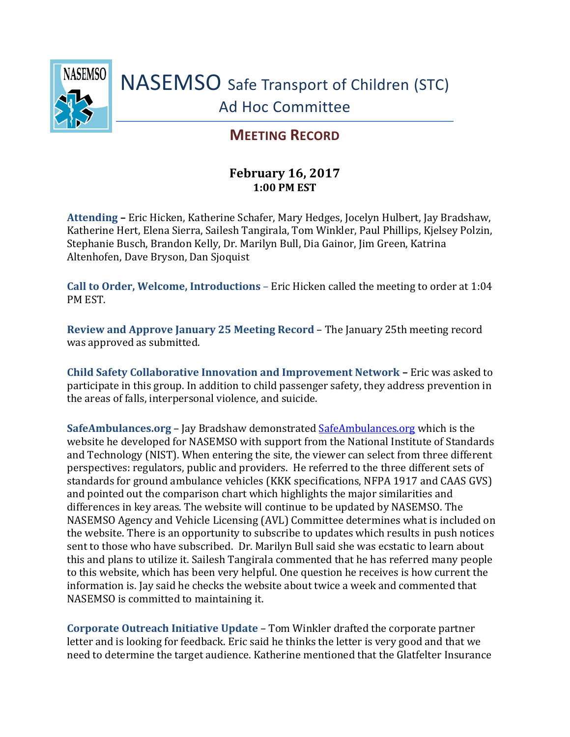

## **MEETING RECORD**

## **February 16, 2017 1:00 PM EST**

**Attending –** Eric Hicken, Katherine Schafer, Mary Hedges, Jocelyn Hulbert, Jay Bradshaw, Katherine Hert, Elena Sierra, Sailesh Tangirala, Tom Winkler, Paul Phillips, Kjelsey Polzin, Stephanie Busch, Brandon Kelly, Dr. Marilyn Bull, Dia Gainor, Jim Green, Katrina Altenhofen, Dave Bryson, Dan Sjoquist

**Call to Order, Welcome, Introductions** – Eric Hicken called the meeting to order at 1:04 PM EST.

**Review and Approve January 25 Meeting Record** – The January 25th meeting record was approved as submitted.

**Child Safety Collaborative Innovation and Improvement Network –** Eric was asked to participate in this group. In addition to child passenger safety, they address prevention in the areas of falls, interpersonal violence, and suicide.

**SafeAmbulances.org** – Jay Bradshaw demonstrated [SafeAmbulances.org](http://www.safeambulances.org/) which is the website he developed for NASEMSO with support from the National Institute of Standards and Technology (NIST). When entering the site, the viewer can select from three different perspectives: regulators, public and providers. He referred to the three different sets of standards for ground ambulance vehicles (KKK specifications, NFPA 1917 and CAAS GVS) and pointed out the comparison chart which highlights the major similarities and differences in key areas. The website will continue to be updated by NASEMSO. The NASEMSO Agency and Vehicle Licensing (AVL) Committee determines what is included on the website. There is an opportunity to subscribe to updates which results in push notices sent to those who have subscribed. Dr. Marilyn Bull said she was ecstatic to learn about this and plans to utilize it. Sailesh Tangirala commented that he has referred many people to this website, which has been very helpful. One question he receives is how current the information is. Jay said he checks the website about twice a week and commented that NASEMSO is committed to maintaining it.

**Corporate Outreach Initiative Update** – Tom Winkler drafted the corporate partner letter and is looking for feedback. Eric said he thinks the letter is very good and that we need to determine the target audience. Katherine mentioned that the Glatfelter Insurance